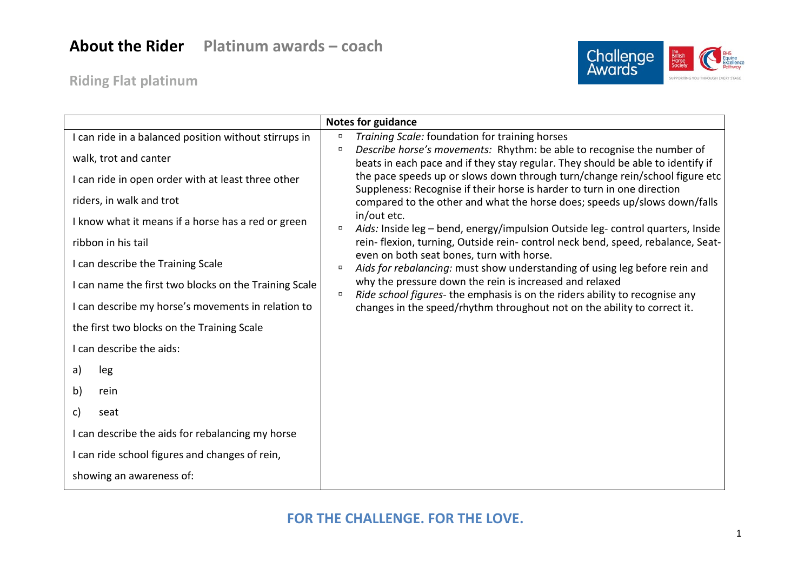## **About the Rider Platinum awards – coach**

**Riding Flat platinum**



|                                                       | <b>Notes for guidance</b>                                                                                                                                 |
|-------------------------------------------------------|-----------------------------------------------------------------------------------------------------------------------------------------------------------|
| I can ride in a balanced position without stirrups in | Training Scale: foundation for training horses                                                                                                            |
| walk, trot and canter                                 | Describe horse's movements: Rhythm: be able to recognise the number of<br>beats in each pace and if they stay regular. They should be able to identify if |
| I can ride in open order with at least three other    | the pace speeds up or slows down through turn/change rein/school figure etc<br>Suppleness: Recognise if their horse is harder to turn in one direction    |
| riders, in walk and trot                              | compared to the other and what the horse does; speeds up/slows down/falls                                                                                 |
| I know what it means if a horse has a red or green    | in/out etc.<br>Aids: Inside leg - bend, energy/impulsion Outside leg- control quarters, Inside<br>$\Box$                                                  |
| ribbon in his tail                                    | rein-flexion, turning, Outside rein-control neck bend, speed, rebalance, Seat-<br>even on both seat bones, turn with horse.                               |
| I can describe the Training Scale                     | Aids for rebalancing: must show understanding of using leg before rein and<br>$\Box$                                                                      |
| I can name the first two blocks on the Training Scale | why the pressure down the rein is increased and relaxed<br>Ride school figures- the emphasis is on the riders ability to recognise any<br>$\Box$          |
| I can describe my horse's movements in relation to    | changes in the speed/rhythm throughout not on the ability to correct it.                                                                                  |
| the first two blocks on the Training Scale            |                                                                                                                                                           |
| I can describe the aids:                              |                                                                                                                                                           |
| a)<br>leg                                             |                                                                                                                                                           |
| b)<br>rein                                            |                                                                                                                                                           |
| c)<br>seat                                            |                                                                                                                                                           |
| I can describe the aids for rebalancing my horse      |                                                                                                                                                           |
| I can ride school figures and changes of rein,        |                                                                                                                                                           |
| showing an awareness of:                              |                                                                                                                                                           |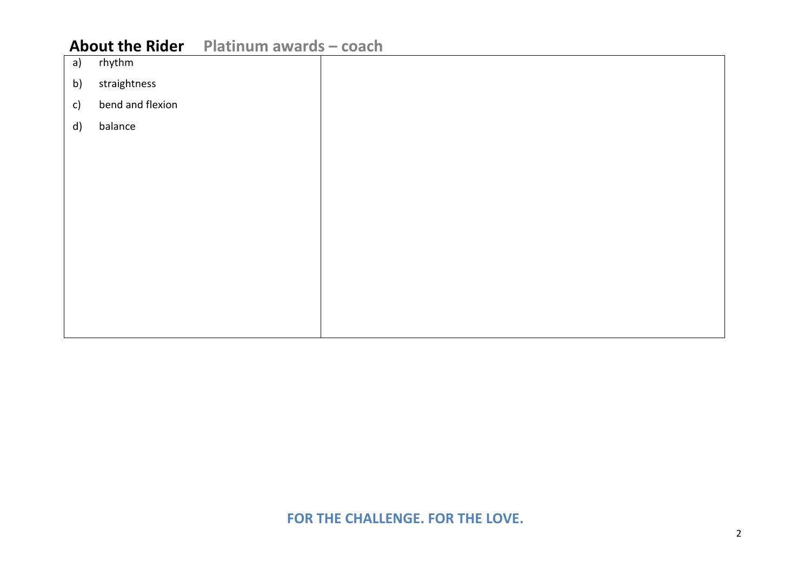### **About the Rider Platinum awards – coach**

| a)           | rhythm           |  |
|--------------|------------------|--|
| b)           | straightness     |  |
| $\mathsf{C}$ | bend and flexion |  |
| d)           | balance          |  |
|              |                  |  |
|              |                  |  |
|              |                  |  |
|              |                  |  |
|              |                  |  |
|              |                  |  |
|              |                  |  |
|              |                  |  |
|              |                  |  |
|              |                  |  |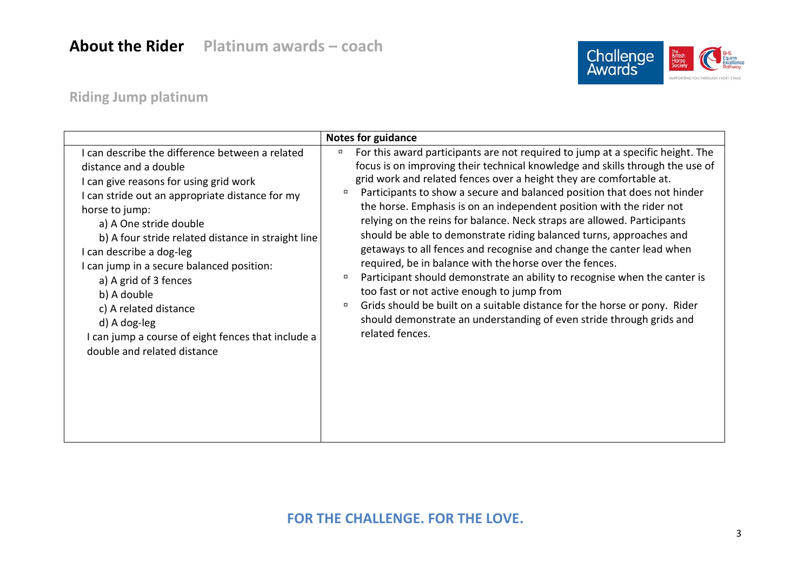

### **Riding Jump platinum**

|                                                                                                                                                                                                                                                                                                                                                                                                                                                                                                                        | <b>Notes for guidance</b>                                                                                                                                                                                                                                                                                                                                                                                                                                                                                                                                                                                                                                                                                                                                                                                                                                                                                                                                                                              |
|------------------------------------------------------------------------------------------------------------------------------------------------------------------------------------------------------------------------------------------------------------------------------------------------------------------------------------------------------------------------------------------------------------------------------------------------------------------------------------------------------------------------|--------------------------------------------------------------------------------------------------------------------------------------------------------------------------------------------------------------------------------------------------------------------------------------------------------------------------------------------------------------------------------------------------------------------------------------------------------------------------------------------------------------------------------------------------------------------------------------------------------------------------------------------------------------------------------------------------------------------------------------------------------------------------------------------------------------------------------------------------------------------------------------------------------------------------------------------------------------------------------------------------------|
| I can describe the difference between a related<br>distance and a double<br>I can give reasons for using grid work<br>I can stride out an appropriate distance for my<br>horse to jump:<br>a) A One stride double<br>b) A four stride related distance in straight line<br>I can describe a dog-leg<br>I can jump in a secure balanced position:<br>a) A grid of 3 fences<br>b) A double<br>c) A related distance<br>d) A dog-leg<br>I can jump a course of eight fences that include a<br>double and related distance | For this award participants are not required to jump at a specific height. The<br>$\Box$<br>focus is on improving their technical knowledge and skills through the use of<br>grid work and related fences over a height they are comfortable at.<br>Participants to show a secure and balanced position that does not hinder<br>the horse. Emphasis is on an independent position with the rider not<br>relying on the reins for balance. Neck straps are allowed. Participants<br>should be able to demonstrate riding balanced turns, approaches and<br>getaways to all fences and recognise and change the canter lead when<br>required, be in balance with the horse over the fences.<br>Participant should demonstrate an ability to recognise when the canter is<br>too fast or not active enough to jump from<br>Grids should be built on a suitable distance for the horse or pony. Rider<br>$\Box$<br>should demonstrate an understanding of even stride through grids and<br>related fences. |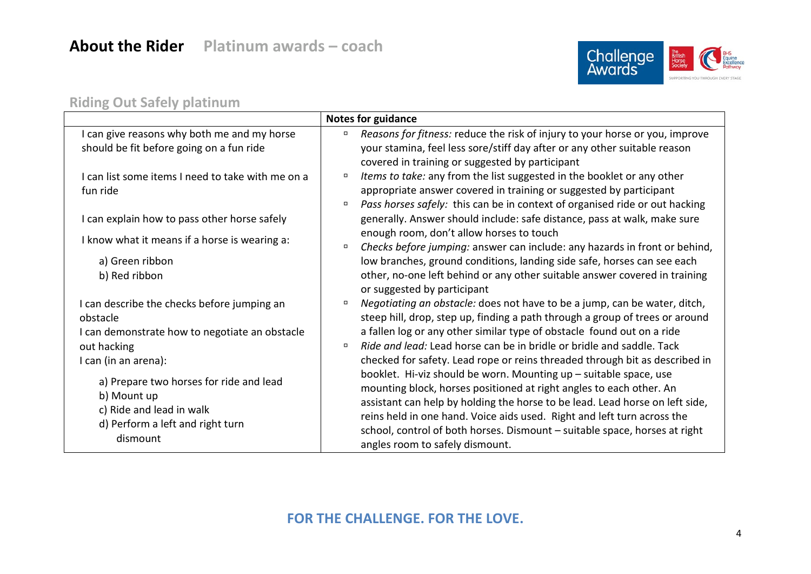

#### **Riding Out Safely platinum**

|                                                                                                                                    | <b>Notes for guidance</b>                                                                                                                                                                                                                                                                                                                                                                                            |
|------------------------------------------------------------------------------------------------------------------------------------|----------------------------------------------------------------------------------------------------------------------------------------------------------------------------------------------------------------------------------------------------------------------------------------------------------------------------------------------------------------------------------------------------------------------|
| I can give reasons why both me and my horse<br>should be fit before going on a fun ride                                            | Reasons for fitness: reduce the risk of injury to your horse or you, improve<br>your stamina, feel less sore/stiff day after or any other suitable reason                                                                                                                                                                                                                                                            |
| I can list some items I need to take with me on a<br>fun ride                                                                      | covered in training or suggested by participant<br>Items to take: any from the list suggested in the booklet or any other<br>$\Box$<br>appropriate answer covered in training or suggested by participant<br>Pass horses safely: this can be in context of organised ride or out hacking                                                                                                                             |
| I can explain how to pass other horse safely                                                                                       | generally. Answer should include: safe distance, pass at walk, make sure                                                                                                                                                                                                                                                                                                                                             |
| I know what it means if a horse is wearing a:                                                                                      | enough room, don't allow horses to touch<br>Checks before jumping: answer can include: any hazards in front or behind,<br>$\Box$                                                                                                                                                                                                                                                                                     |
| a) Green ribbon<br>b) Red ribbon                                                                                                   | low branches, ground conditions, landing side safe, horses can see each<br>other, no-one left behind or any other suitable answer covered in training<br>or suggested by participant                                                                                                                                                                                                                                 |
| I can describe the checks before jumping an<br>obstacle<br>I can demonstrate how to negotiate an obstacle                          | Negotiating an obstacle: does not have to be a jump, can be water, ditch,<br>$\Box$<br>steep hill, drop, step up, finding a path through a group of trees or around<br>a fallen log or any other similar type of obstacle found out on a ride                                                                                                                                                                        |
| out hacking<br>I can (in an arena):                                                                                                | Ride and lead: Lead horse can be in bridle or bridle and saddle. Tack<br>$\Box$<br>checked for safety. Lead rope or reins threaded through bit as described in                                                                                                                                                                                                                                                       |
| a) Prepare two horses for ride and lead<br>b) Mount up<br>c) Ride and lead in walk<br>d) Perform a left and right turn<br>dismount | booklet. Hi-viz should be worn. Mounting up - suitable space, use<br>mounting block, horses positioned at right angles to each other. An<br>assistant can help by holding the horse to be lead. Lead horse on left side,<br>reins held in one hand. Voice aids used. Right and left turn across the<br>school, control of both horses. Dismount - suitable space, horses at right<br>angles room to safely dismount. |